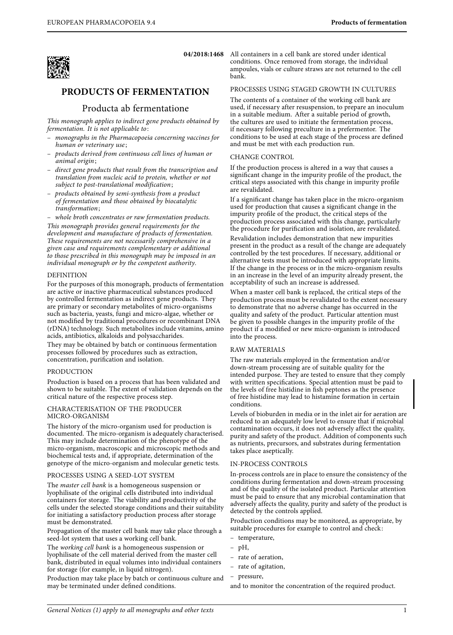

# **PRODUCTS OF FERMENTATION**

## Producta ab fermentatione

This monograph applies to indirect gene products obtained by fermentation. It is not applicable to:

- monographs in the Pharmacopoeia concerning vaccines for human or veterinary use;
- products derived from continuous cell lines of human or animal origin;
- direct gene products that result from the transcription and translation from nucleic acid to protein, whether or not subject to post-translational modification;
- products obtained by semi-synthesis from a product of fermentation and those obtained by biocatalytic transformation;

– whole broth concentrates or raw fermentation products. This monograph provides general requirements for the development and manufacture of products of fermentation. These requirements are not necessarily comprehensive in a given case and requirements complementary or additional to those prescribed in this monograph may be imposed in an individual monograph or by the competent authority.

#### DEFINITION

For the purposes of this monograph, products of fermentation are active or inactive pharmaceutical substances produced by controlled fermentation as indirect gene products. They are primary or secondary metabolites of micro-organisms such as bacteria, yeasts, fungi and micro-algae, whether or not modified by traditional procedures or recombinant DNA (rDNA) technology. Such metabolites include vitamins, amino acids, antibiotics, alkaloids and polysaccharides.

They may be obtained by batch or continuous fermentation processes followed by procedures such as extraction, concentration, purification and isolation.

#### PRODUCTION

Production is based on a process that has been validated and shown to be suitable. The extent of validation depends on the critical nature of the respective process step.

#### CHARACTERISATION OF THE PRODUCER MICRO-ORGANISM

The history of the micro-organism used for production is documented. The micro-organism is adequately characterised. This may include determination of the phenotype of the micro-organism, macroscopic and microscopic methods and biochemical tests and, if appropriate, determination of the genotype of the micro-organism and molecular genetic tests.

#### PROCESSES USING A SEED-LOT SYSTEM

The master cell bank is a homogeneous suspension or lyophilisate of the original cells distributed into individual containers for storage. The viability and productivity of the cells under the selected storage conditions and their suitability for initiating a satisfactory production process after storage must be demonstrated.

Propagation of the master cell bank may take place through a seed-lot system that uses a working cell bank.

The working cell bank is a homogeneous suspension or lyophilisate of the cell material derived from the master cell bank, distributed in equal volumes into individual containers for storage (for example, in liquid nitrogen).

Production may take place by batch or continuous culture and may be terminated under defined conditions.

**04/2018:1468** All containers in a cell bank are stored under identical conditions. Once removed from storage, the individual ampoules, vials or culture straws are not returned to the cell bank.

### PROCESSES USING STAGED GROWTH IN CULTURES

The contents of a container of the working cell bank are used, if necessary after resuspension, to prepare an inoculum in a suitable medium. After a suitable period of growth, the cultures are used to initiate the fermentation process, if necessary following preculture in a prefermentor. The conditions to be used at each stage of the process are defined and must be met with each production run.

#### CHANGE CONTROL

If the production process is altered in a way that causes a significant change in the impurity profile of the product, the critical steps associated with this change in impurity profile are revalidated.

If a significant change has taken place in the micro-organism used for production that causes a significant change in the impurity profile of the product, the critical steps of the production process associated with this change, particularly the procedure for purification and isolation, are revalidated.

Revalidation includes demonstration that new impurities present in the product as a result of the change are adequately controlled by the test procedures. If necessary, additional or alternative tests must be introduced with appropriate limits. If the change in the process or in the micro-organism results in an increase in the level of an impurity already present, the acceptability of such an increase is addressed.

When a master cell bank is replaced, the critical steps of the production process must be revalidated to the extent necessary to demonstrate that no adverse change has occurred in the quality and safety of the product. Particular attention must be given to possible changes in the impurity profile of the product if a modified or new micro-organism is introduced into the process.

#### RAW MATERIALS

The raw materials employed in the fermentation and/or down-stream processing are of suitable quality for the intended purpose. They are tested to ensure that they comply with written specifications. Special attention must be paid to the levels of free histidine in fish peptones as the presence of free histidine may lead to histamine formation in certain conditions.

Levels of bioburden in media or in the inlet air for aeration are reduced to an adequately low level to ensure that if microbial contamination occurs, it does not adversely affect the quality, purity and safety of the product. Addition of components such as nutrients, precursors, and substrates during fermentation takes place aseptically.

#### IN-PROCESS CONTROLS

In-process controls are in place to ensure the consistency of the conditions during fermentation and down-stream processing and of the quality of the isolated product. Particular attention must be paid to ensure that any microbial contamination that adversely affects the quality, purity and safety of the product is detected by the controls applied.

Production conditions may be monitored, as appropriate, by suitable procedures for example to control and check:

- temperature,
- pH,
- rate of aeration,
- rate of agitation,
- pressure,

and to monitor the concentration of the required product.